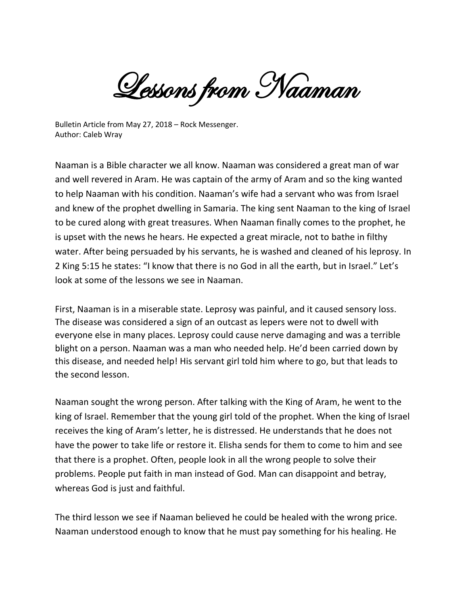Lessons from Naaman

Bulletin Article from May 27, 2018 – Rock Messenger. Author: Caleb Wray

Naaman is a Bible character we all know. Naaman was considered a great man of war and well revered in Aram. He was captain of the army of Aram and so the king wanted to help Naaman with his condition. Naaman's wife had a servant who was from Israel and knew of the prophet dwelling in Samaria. The king sent Naaman to the king of Israel to be cured along with great treasures. When Naaman finally comes to the prophet, he is upset with the news he hears. He expected a great miracle, not to bathe in filthy water. After being persuaded by his servants, he is washed and cleaned of his leprosy. In 2 King 5:15 he states: "I know that there is no God in all the earth, but in Israel." Let's look at some of the lessons we see in Naaman.

First, Naaman is in a miserable state. Leprosy was painful, and it caused sensory loss. The disease was considered a sign of an outcast as lepers were not to dwell with everyone else in many places. Leprosy could cause nerve damaging and was a terrible blight on a person. Naaman was a man who needed help. He'd been carried down by this disease, and needed help! His servant girl told him where to go, but that leads to the second lesson.

Naaman sought the wrong person. After talking with the King of Aram, he went to the king of Israel. Remember that the young girl told of the prophet. When the king of Israel receives the king of Aram's letter, he is distressed. He understands that he does not have the power to take life or restore it. Elisha sends for them to come to him and see that there is a prophet. Often, people look in all the wrong people to solve their problems. People put faith in man instead of God. Man can disappoint and betray, whereas God is just and faithful.

The third lesson we see if Naaman believed he could be healed with the wrong price. Naaman understood enough to know that he must pay something for his healing. He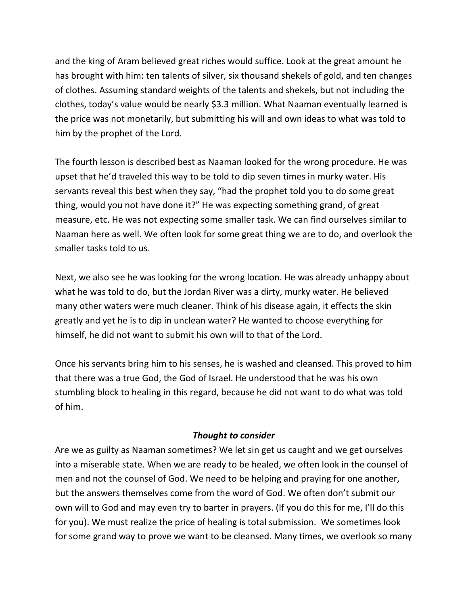and the king of Aram believed great riches would suffice. Look at the great amount he has brought with him: ten talents of silver, six thousand shekels of gold, and ten changes of clothes. Assuming standard weights of the talents and shekels, but not including the clothes, today's value would be nearly \$3.3 million. What Naaman eventually learned is the price was not monetarily, but submitting his will and own ideas to what was told to him by the prophet of the Lord.

The fourth lesson is described best as Naaman looked for the wrong procedure. He was upset that he'd traveled this way to be told to dip seven times in murky water. His servants reveal this best when they say, "had the prophet told you to do some great thing, would you not have done it?" He was expecting something grand, of great measure, etc. He was not expecting some smaller task. We can find ourselves similar to Naaman here as well. We often look for some great thing we are to do, and overlook the smaller tasks told to us.

Next, we also see he was looking for the wrong location. He was already unhappy about what he was told to do, but the Jordan River was a dirty, murky water. He believed many other waters were much cleaner. Think of his disease again, it effects the skin greatly and yet he is to dip in unclean water? He wanted to choose everything for himself, he did not want to submit his own will to that of the Lord.

Once his servants bring him to his senses, he is washed and cleansed. This proved to him that there was a true God, the God of Israel. He understood that he was his own stumbling block to healing in this regard, because he did not want to do what was told of him.

## *Thought to consider*

Are we as guilty as Naaman sometimes? We let sin get us caught and we get ourselves into a miserable state. When we are ready to be healed, we often look in the counsel of men and not the counsel of God. We need to be helping and praying for one another, but the answers themselves come from the word of God. We often don't submit our own will to God and may even try to barter in prayers. (If you do this for me, I'll do this for you). We must realize the price of healing is total submission. We sometimes look for some grand way to prove we want to be cleansed. Many times, we overlook so many